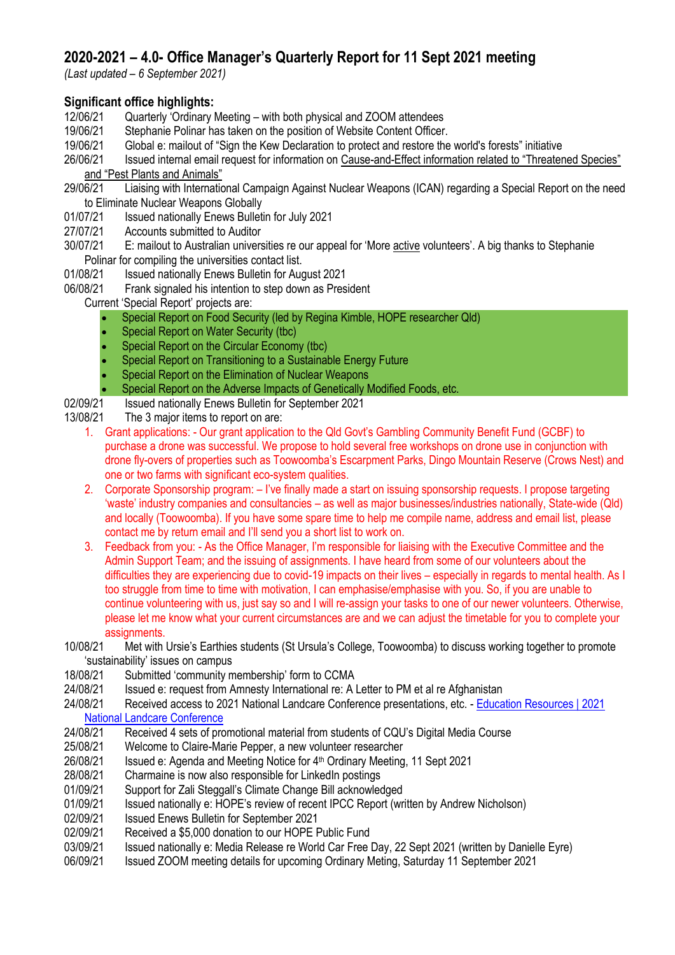# **2020-2021 – 4.0- Office Manager's Quarterly Report for 11 Sept 2021 meeting**

*(Last updated – 6 September 2021)*

## **Significant office highlights:**

- 12/06/21 Quarterly 'Ordinary Meeting with both physical and ZOOM attendees
- 19/06/21 Stephanie Polinar has taken on the position of Website Content Officer.<br>19/06/21 Global e: mailout of "Sign the Kew Declaration to protect and restore the
- 19/06/21 Global e: mailout of "Sign the Kew Declaration to protect and restore the world's forests" initiative
- 26/06/21 Issued internal email request for information on Cause-and-Effect information related to "Threatened Species" and "Pest Plants and Animals"
- 29/06/21 Liaising with International Campaign Against Nuclear Weapons (ICAN) regarding a Special Report on the need to Eliminate Nuclear Weapons Globally
- 01/07/21 Issued nationally Enews Bulletin for July 2021<br>27/07/21 Accounts submitted to Auditor
- Accounts submitted to Auditor
- 30/07/21 E: mailout to Australian universities re our appeal for 'More active volunteers'. A big thanks to Stephanie Polinar for compiling the universities contact list.
- 01/08/21 Issued nationally Enews Bulletin for August 2021
- 06/08/21 Frank signaled his intention to step down as President

Current 'Special Report' projects are:

- Special Report on Food Security (led by Regina Kimble, HOPE researcher Qld)
- Special Report on Water Security (tbc)
- Special Report on the Circular Economy (tbc)
- Special Report on Transitioning to a Sustainable Energy Future
- Special Report on the Elimination of Nuclear Weapons
- Special Report on the Adverse Impacts of Genetically Modified Foods, etc.
- 02/09/21 Issued nationally Enews Bulletin for September 2021
- 13/08/21 The 3 major items to report on are:
	- 1. Grant applications: Our grant application to the Qld Govt's Gambling Community Benefit Fund (GCBF) to purchase a drone was successful. We propose to hold several free workshops on drone use in conjunction with drone fly-overs of properties such as Toowoomba's Escarpment Parks, Dingo Mountain Reserve (Crows Nest) and one or two farms with significant eco-system qualities.
	- 2. Corporate Sponsorship program: I've finally made a start on issuing sponsorship requests. I propose targeting 'waste' industry companies and consultancies – as well as major businesses/industries nationally, State-wide (Qld) and locally (Toowoomba). If you have some spare time to help me compile name, address and email list, please contact me by return email and I'll send you a short list to work on.
	- 3. Feedback from you: As the Office Manager, I'm responsible for liaising with the Executive Committee and the Admin Support Team; and the issuing of assignments. I have heard from some of our volunteers about the difficulties they are experiencing due to covid-19 impacts on their lives – especially in regards to mental health. As I too struggle from time to time with motivation, I can emphasise/emphasise with you. So, if you are unable to continue volunteering with us, just say so and I will re-assign your tasks to one of our newer volunteers. Otherwise, please let me know what your current circumstances are and we can adjust the timetable for you to complete your assignments.
- 10/08/21 Met with Ursie's Earthies students (St Ursula's College, Toowoomba) to discuss working together to promote 'sustainability' issues on campus
- 18/08/21 Submitted 'community membership' form to CCMA
- 24/08/21 Issued e: request from Amnesty International re: A Letter to PM et al re Afghanistan
- 24/08/21 Received access to 2021 National Landcare Conference presentations, etc. [Education Resources | 2021](https://nationallandcareconference.org.au/education-resources/?)  [National Landcare Conference](https://nationallandcareconference.org.au/education-resources/?)
- 24/08/21 Received 4 sets of promotional material from students of CQU's Digital Media Course
- 25/08/21 Welcome to Claire-Marie Pepper, a new volunteer researcher
- 26/08/21 Issued e: Agenda and Meeting Notice for 4th Ordinary Meeting, 11 Sept 2021
- 28/08/21 Charmaine is now also responsible for LinkedIn postings
- 01/09/21 Support for Zali Steggall's Climate Change Bill acknowledged
- 01/09/21 Issued nationally e: HOPE's review of recent IPCC Report (written by Andrew Nicholson)
- 02/09/21 Issued Enews Bulletin for September 2021
- 02/09/21 Received a \$5,000 donation to our HOPE Public Fund
- 03/09/21 Issued nationally e: Media Release re World Car Free Day, 22 Sept 2021 (written by Danielle Eyre)
- 06/09/21 Issued ZOOM meeting details for upcoming Ordinary Meting, Saturday 11 September 2021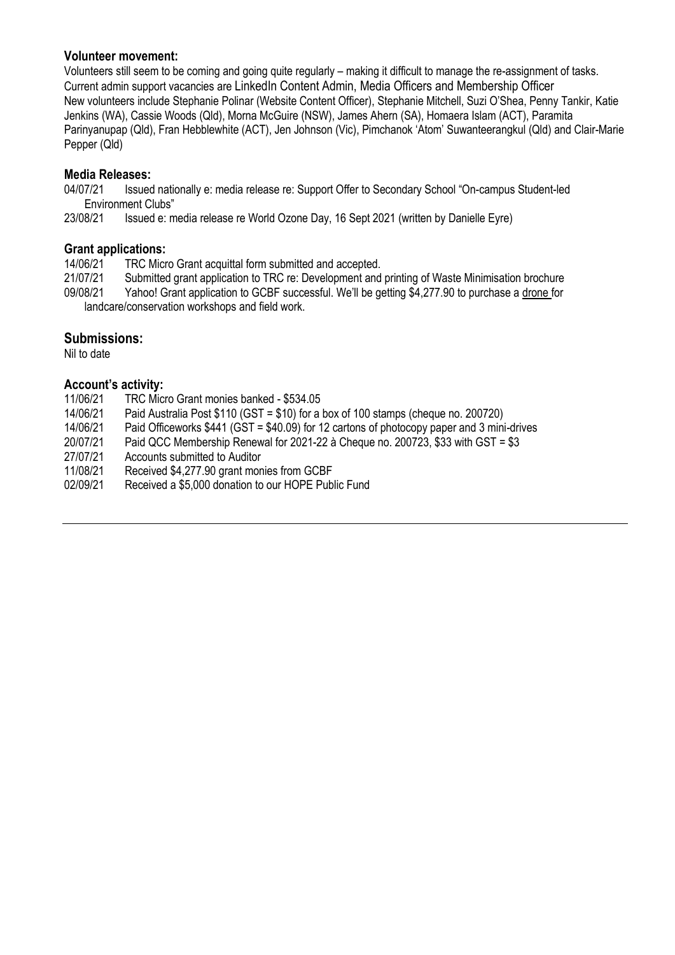### **Volunteer movement:**

Volunteers still seem to be coming and going quite regularly – making it difficult to manage the re-assignment of tasks. Current admin support vacancies are LinkedIn Content Admin, Media Officers and Membership Officer New volunteers include Stephanie Polinar (Website Content Officer), Stephanie Mitchell, Suzi O'Shea, Penny Tankir, Katie Jenkins (WA), Cassie Woods (Qld), Morna McGuire (NSW), James Ahern (SA), Homaera Islam (ACT), Paramita Parinyanupap (Qld), Fran Hebblewhite (ACT), Jen Johnson (Vic), Pimchanok 'Atom' Suwanteerangkul (Qld) and Clair-Marie Pepper (Qld)

### **Media Releases:**

04/07/21 Issued nationally e: media release re: Support Offer to Secondary School "On-campus Student-led Environment Clubs"

23/08/21 Issued e: media release re World Ozone Day, 16 Sept 2021 (written by Danielle Eyre)

### **Grant applications:**

14/06/21 TRC Micro Grant acquittal form submitted and accepted.

21/07/21 Submitted grant application to TRC re: Development and printing of Waste Minimisation brochure<br>09/08/21 Yahoo! Grant application to GCBF successful. We'll be getting \$4,277.90 to purchase a drone for

Yahoo! Grant application to GCBF successful. We'll be getting \$4,277.90 to purchase a drone for landcare/conservation workshops and field work.

### **Submissions:**

Nil to date

### **Account's activity:**

- 11/06/21 TRC Micro Grant monies banked \$534.05
- 14/06/21 Paid Australia Post \$110 (GST = \$10) for a box of 100 stamps (cheque no. 200720)
- Paid Officeworks \$441 (GST = \$40.09) for 12 cartons of photocopy paper and 3 mini-drives
- 20/07/21 Paid QCC Membership Renewal for 2021-22 à Cheque no. 200723, \$33 with GST = \$3

27/07/21 Accounts submitted to Auditor

- 11/08/21 Received \$4,277.90 grant monies from GCBF
- 02/09/21 Received a \$5,000 donation to our HOPE Public Fund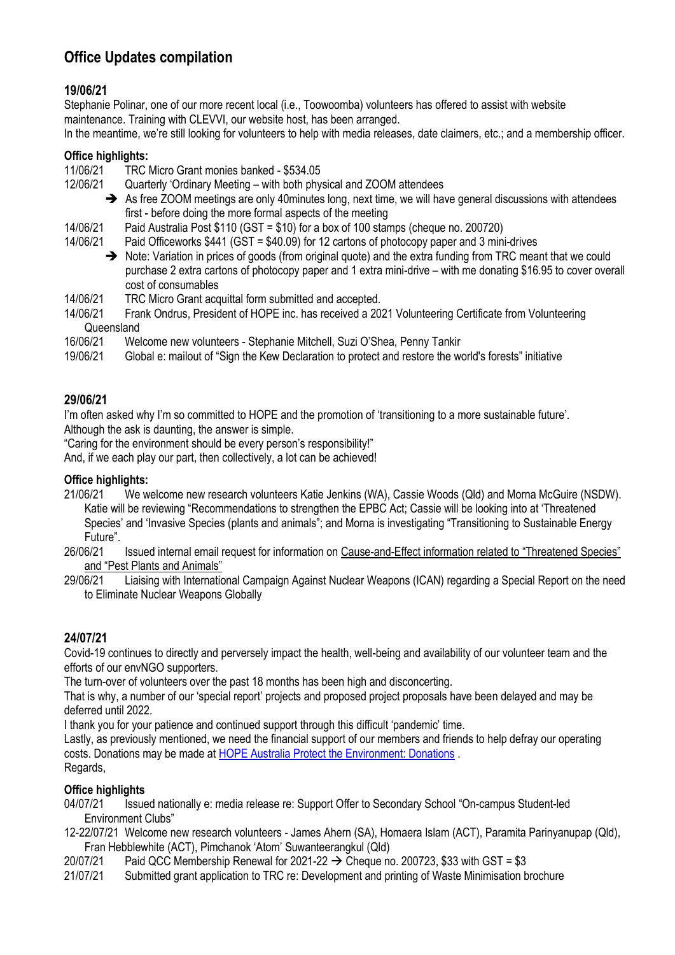# **Office Updates compilation**

# **19/06/21**

Stephanie Polinar, one of our more recent local (i.e., Toowoomba) volunteers has offered to assist with website maintenance. Training with CLEVVI, our website host, has been arranged.

In the meantime, we're still looking for volunteers to help with media releases, date claimers, etc.; and a membership officer.

### **Office highlights:**

11/06/21 TRC Micro Grant monies banked - \$534.05

- 12/06/21 Quarterly 'Ordinary Meeting with both physical and ZOOM attendees
	- ➔ As free ZOOM meetings are only 40minutes long, next time, we will have general discussions with attendees first - before doing the more formal aspects of the meeting
- 14/06/21 Paid Australia Post \$110 (GST = \$10) for a box of 100 stamps (cheque no. 200720)
- 14/06/21 Paid Officeworks \$441 (GST = \$40.09) for 12 cartons of photocopy paper and 3 mini-drives
	- ➔ Note: Variation in prices of goods (from original quote) and the extra funding from TRC meant that we could purchase 2 extra cartons of photocopy paper and 1 extra mini-drive – with me donating \$16.95 to cover overall cost of consumables
- 14/06/21 TRC Micro Grant acquittal form submitted and accepted.
- 14/06/21 Frank Ondrus, President of HOPE inc. has received a 2021 Volunteering Certificate from Volunteering Queensland<br>16/06/21 We
- 16/06/21 Welcome new volunteers Stephanie Mitchell, Suzi O'Shea, Penny Tankir
- 19/06/21 Global e: mailout of "Sign the Kew Declaration to protect and restore the world's forests" initiative

## **29/06/21**

I'm often asked why I'm so committed to HOPE and the promotion of 'transitioning to a more sustainable future'. Although the ask is daunting, the answer is simple.

"Caring for the environment should be every person's responsibility!"

And, if we each play our part, then collectively, a lot can be achieved!

#### **Office highlights:**

- 21/06/21 We welcome new research volunteers Katie Jenkins (WA), Cassie Woods (Qld) and Morna McGuire (NSDW). Katie will be reviewing "Recommendations to strengthen the EPBC Act; Cassie will be looking into at 'Threatened Species' and 'Invasive Species (plants and animals"; and Morna is investigating "Transitioning to Sustainable Energy Future".
- 26/06/21 Issued internal email request for information on Cause-and-Effect information related to "Threatened Species" and "Pest Plants and Animals"<br>29/06/21 Liaising with Internation
- 29/06/21 Liaising with International Campaign Against Nuclear Weapons (ICAN) regarding a Special Report on the need to Eliminate Nuclear Weapons Globally

## **24/07/21**

Covid-19 continues to directly and perversely impact the health, well-being and availability of our volunteer team and the efforts of our envNGO supporters.

The turn-over of volunteers over the past 18 months has been high and disconcerting.

That is why, a number of our 'special report' projects and proposed project proposals have been delayed and may be deferred until 2022.

I thank you for your patience and continued support through this difficult 'pandemic' time.

Lastly, as previously mentioned, we need the financial support of our members and friends to help defray our operating costs. Donations may be made at [HOPE Australia Protect the Environment: Donations](http://www.hopeaustralia.org.au/donations/) . Regards,

## **Office highlights**

- 04/07/21 Issued nationally e: media release re: Support Offer to Secondary School "On-campus Student-led Environment Clubs"
- 12-22/07/21 Welcome new research volunteers James Ahern (SA), Homaera Islam (ACT), Paramita Parinyanupap (Qld), Fran Hebblewhite (ACT), Pimchanok 'Atom' Suwanteerangkul (Qld)
- 20/07/21 Paid QCC Membership Renewal for 2021-22  $\rightarrow$  Cheque no. 200723, \$33 with GST = \$3
- 21/07/21 Submitted grant application to TRC re: Development and printing of Waste Minimisation brochure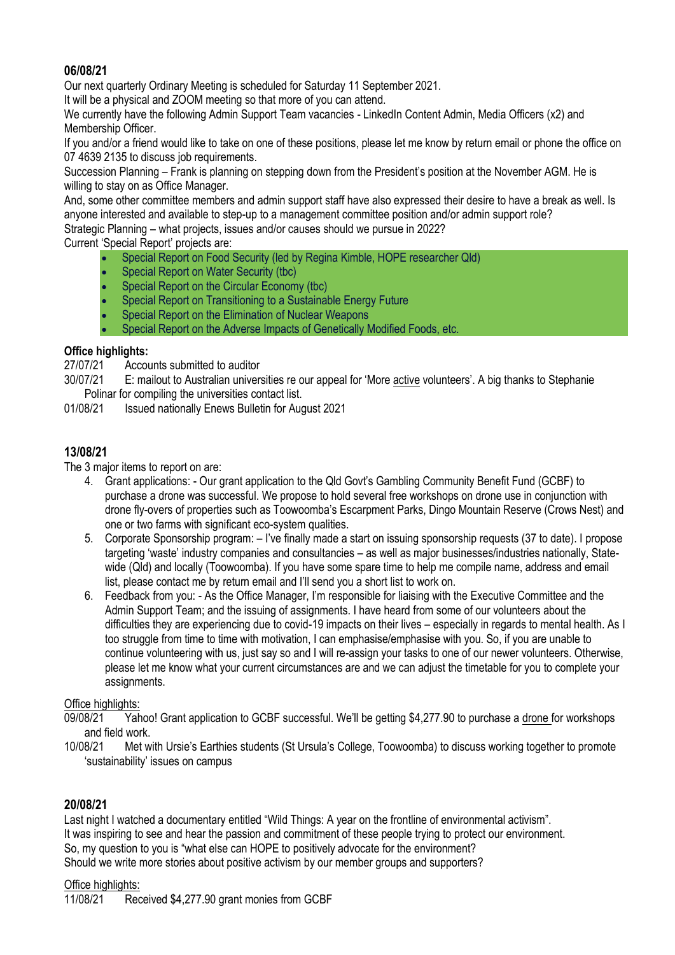## **06/08/21**

Our next quarterly Ordinary Meeting is scheduled for Saturday 11 September 2021.

It will be a physical and ZOOM meeting so that more of you can attend.

We currently have the following Admin Support Team vacancies - LinkedIn Content Admin, Media Officers (x2) and Membership Officer.

If you and/or a friend would like to take on one of these positions, please let me know by return email or phone the office on 07 4639 2135 to discuss job requirements.

Succession Planning – Frank is planning on stepping down from the President's position at the November AGM. He is willing to stay on as Office Manager.

And, some other committee members and admin support staff have also expressed their desire to have a break as well. Is anyone interested and available to step-up to a management committee position and/or admin support role?

Strategic Planning – what projects, issues and/or causes should we pursue in 2022?

Current 'Special Report' projects are:

- Special Report on Food Security (led by Regina Kimble, HOPE researcher Qld)
- Special Report on Water Security (tbc)
- Special Report on the Circular Economy (tbc)
- Special Report on Transitioning to a Sustainable Energy Future
- Special Report on the Elimination of Nuclear Weapons
- Special Report on the Adverse Impacts of Genetically Modified Foods, etc.

### **Office highlights:**

27/07/21 Accounts submitted to auditor

- 30/07/21 E: mailout to Australian universities re our appeal for 'More active volunteers'. A big thanks to Stephanie Polinar for compiling the universities contact list.
- 01/08/21 Issued nationally Enews Bulletin for August 2021

## **13/08/21**

The 3 major items to report on are:

- 4. Grant applications: Our grant application to the Qld Govt's Gambling Community Benefit Fund (GCBF) to purchase a drone was successful. We propose to hold several free workshops on drone use in conjunction with drone fly-overs of properties such as Toowoomba's Escarpment Parks, Dingo Mountain Reserve (Crows Nest) and one or two farms with significant eco-system qualities.
- 5. Corporate Sponsorship program: I've finally made a start on issuing sponsorship requests (37 to date). I propose targeting 'waste' industry companies and consultancies – as well as major businesses/industries nationally, Statewide (Qld) and locally (Toowoomba). If you have some spare time to help me compile name, address and email list, please contact me by return email and I'll send you a short list to work on.
- 6. Feedback from you: As the Office Manager, I'm responsible for liaising with the Executive Committee and the Admin Support Team; and the issuing of assignments. I have heard from some of our volunteers about the difficulties they are experiencing due to covid-19 impacts on their lives – especially in regards to mental health. As I too struggle from time to time with motivation, I can emphasise/emphasise with you. So, if you are unable to continue volunteering with us, just say so and I will re-assign your tasks to one of our newer volunteers. Otherwise, please let me know what your current circumstances are and we can adjust the timetable for you to complete your assignments.

## Office highlights:

- 09/08/21 Yahoo! Grant application to GCBF successful. We'll be getting \$4,277.90 to purchase a drone for workshops and field work.
- 10/08/21 Met with Ursie's Earthies students (St Ursula's College, Toowoomba) to discuss working together to promote 'sustainability' issues on campus

## **20/08/21**

Last night I watched a documentary entitled "Wild Things: A year on the frontline of environmental activism". It was inspiring to see and hear the passion and commitment of these people trying to protect our environment. So, my question to you is "what else can HOPE to positively advocate for the environment? Should we write more stories about positive activism by our member groups and supporters?

#### Office highlights:

11/08/21 Received \$4,277.90 grant monies from GCBF